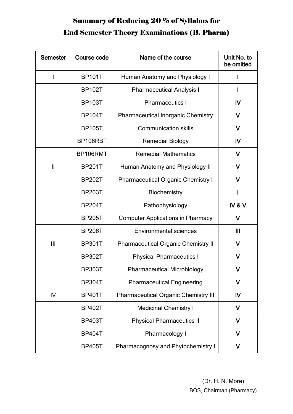## Summary of Reducing 20 % of Syllabus for End Semester Theory Examinations (B. Pharm)

| <b>Semester</b> | Course code   | Name of the course                          | Unit No. to<br>be omitted |
|-----------------|---------------|---------------------------------------------|---------------------------|
|                 | <b>BP101T</b> | Human Anatomy and Physiology I              |                           |
|                 | <b>BP102T</b> | <b>Pharmaceutical Analysis I</b>            |                           |
|                 | <b>BP103T</b> | <b>Pharmaceutics I</b>                      | $\mathsf{IV}$             |
|                 | <b>BP104T</b> | <b>Pharmaceutical Inorganic Chemistry</b>   | V                         |
|                 | <b>BP105T</b> | <b>Communication skills</b>                 | V                         |
|                 | BP106RBT      | <b>Remedial Biology</b>                     | IV                        |
|                 | BP106RMT      | <b>Remedial Mathematics</b>                 | $\mathsf{V}$              |
| $\mathbf{I}$    | <b>BP201T</b> | Human Anatomy and Physiology II             | V                         |
|                 | <b>BP202T</b> | <b>Pharmaceutical Organic Chemistry I</b>   | V                         |
|                 | <b>BP203T</b> | <b>Biochemistry</b>                         |                           |
|                 | <b>BP204T</b> | Pathophysiology                             | IV&V                      |
|                 | <b>BP205T</b> | <b>Computer Applications in Pharmacy</b>    | $\mathsf{V}$              |
|                 | <b>BP206T</b> | <b>Environmental sciences</b>               | Ш                         |
| $\mathbf{III}$  | <b>BP301T</b> | <b>Pharmaceutical Organic Chemistry II</b>  | V                         |
|                 | <b>BP302T</b> | <b>Physical Pharmaceutics I</b>             | $\mathsf{V}$              |
|                 | <b>BP303T</b> | <b>Pharmaceutical Microbiology</b>          | V                         |
|                 | <b>BP304T</b> | <b>Pharmaceutical Engineering</b>           | V                         |
| IV              | <b>BP401T</b> | <b>Pharmaceutical Organic Chemistry III</b> | IV                        |
|                 | <b>BP402T</b> | <b>Medicinal Chemistry I</b>                | V                         |
|                 | <b>BP403T</b> | <b>Physical Pharmaceutics II</b>            | $\mathsf{V}$              |
|                 | <b>BP404T</b> | Pharmacology I                              | V                         |
|                 | <b>BP405T</b> | Pharmacognosy and Phytochemistry I          | V                         |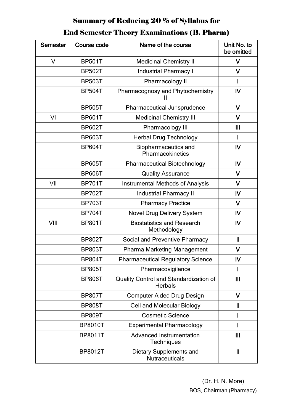### Summary of Reducing 20 % of Syllabus for

### End Semester Theory Examinations (B. Pharm)

| <b>Semester</b> | Course code    | Name of the course                                       | Unit No. to<br>be omitted |
|-----------------|----------------|----------------------------------------------------------|---------------------------|
| $\vee$          | <b>BP501T</b>  | <b>Medicinal Chemistry II</b>                            | $\vee$                    |
|                 | <b>BP502T</b>  | <b>Industrial Pharmacy I</b>                             | $\mathsf{V}$              |
|                 | <b>BP503T</b>  | Pharmacology II                                          | I                         |
|                 | <b>BP504T</b>  | Pharmacognosy and Phytochemistry<br>Ш                    | IV                        |
|                 | <b>BP505T</b>  | Pharmaceutical Jurisprudence                             | V                         |
| VI              | <b>BP601T</b>  | <b>Medicinal Chemistry III</b>                           | $\mathsf{V}$              |
|                 | <b>BP602T</b>  | Pharmacology III                                         | $\mathbf{III}$            |
|                 | <b>BP603T</b>  | <b>Herbal Drug Technology</b>                            |                           |
|                 | <b>BP604T</b>  | <b>Biopharmaceutics and</b><br>Pharmacokinetics          | IV                        |
|                 | <b>BP605T</b>  | <b>Pharmaceutical Biotechnology</b>                      | IV                        |
|                 | <b>BP606T</b>  | <b>Quality Assurance</b>                                 | $\mathsf{V}$              |
| VII             | <b>BP701T</b>  | <b>Instrumental Methods of Analysis</b>                  | $\mathsf{V}$              |
|                 | <b>BP702T</b>  | <b>Industrial Pharmacy II</b>                            | IV                        |
|                 | <b>BP703T</b>  | <b>Pharmacy Practice</b>                                 | $\mathsf{V}$              |
|                 | <b>BP704T</b>  | Novel Drug Delivery System                               | IV                        |
| VIII            | <b>BP801T</b>  | <b>Biostatistics and Research</b><br>Methodology         | IV                        |
|                 | <b>BP802T</b>  | Social and Preventive Pharmacy                           | $\mathbf{I}$              |
|                 | <b>BP803T</b>  | Pharma Marketing Management                              | V                         |
|                 | <b>BP804T</b>  | <b>Pharmaceutical Regulatory Science</b>                 | $\mathsf{I}\mathsf{V}$    |
|                 | <b>BP805T</b>  | Pharmacovigilance                                        |                           |
|                 | <b>BP806T</b>  | Quality Control and Standardization of<br><b>Herbals</b> | $\mathbf{III}$            |
|                 | <b>BP807T</b>  | <b>Computer Aided Drug Design</b>                        | V                         |
|                 | <b>BP808T</b>  | <b>Cell and Molecular Biology</b>                        | $\mathbf{I}$              |
|                 | <b>BP809T</b>  | <b>Cosmetic Science</b>                                  |                           |
|                 | <b>BP8010T</b> | <b>Experimental Pharmacology</b>                         |                           |
|                 | <b>BP8011T</b> | <b>Advanced Instrumentation</b><br>Techniques            | $\mathbf{III}$            |
|                 | <b>BP8012T</b> | <b>Dietary Supplements and</b><br>Nutraceuticals         | $\mathbf{I}$              |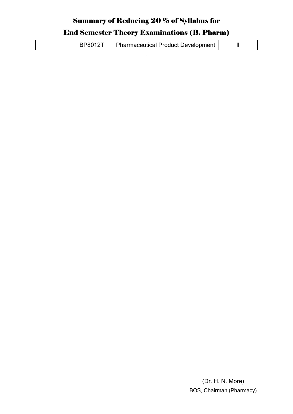### Summary of Reducing 20 % of Syllabus for

### End Semester Theory Examinations (B. Pharm)

| <b>BP8012T</b><br>  Pharmaceutical Product Development |  |
|--------------------------------------------------------|--|
|--------------------------------------------------------|--|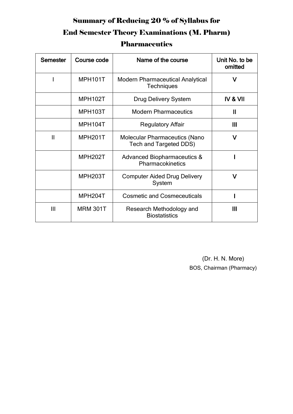## Summary of Reducing 20 % of Syllabus for End Semester Theory Examinations (M. Pharm) **Pharmaceutics**

| <b>Semester</b> | Course code          | Name of the course                                             | Unit No. to be<br>omitted |
|-----------------|----------------------|----------------------------------------------------------------|---------------------------|
|                 | <b>MPH101T</b>       | <b>Modern Pharmaceutical Analytical</b><br><b>Techniques</b>   | V                         |
|                 | MPH102T              | <b>Drug Delivery System</b>                                    | <b>IV &amp; VII</b>       |
|                 | MPH103T              | <b>Modern Pharmaceutics</b>                                    | $\mathbf{I}$              |
|                 | MPH104T              | <b>Regulatory Affair</b>                                       | $\mathbf{III}$            |
| $\mathsf{II}$   | MPH <sub>201</sub> T | <b>Molecular Pharmaceutics (Nano</b><br>Tech and Targeted DDS) | v                         |
|                 | <b>MPH202T</b>       | <b>Advanced Biopharmaceutics &amp;</b><br>Pharmacokinetics     |                           |
|                 | MPH203T              | <b>Computer Aided Drug Delivery</b><br>System                  | v                         |
|                 | MPH <sub>204</sub> T | <b>Cosmetic and Cosmeceuticals</b>                             |                           |
| $\mathbf{III}$  | <b>MRM 301T</b>      | Research Methodology and<br><b>Biostatistics</b>               | Ш                         |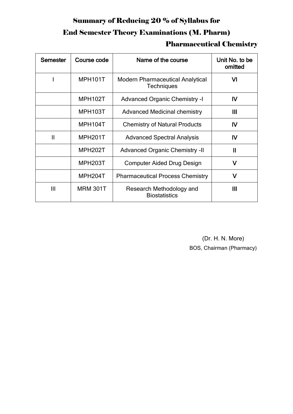# Summary of Reducing 20 % of Syllabus for End Semester Theory Examinations (M. Pharm)

#### Pharmaceutical Chemistry

| <b>Semester</b> | Course code          | Name of the course                                           | Unit No. to be<br>omitted |
|-----------------|----------------------|--------------------------------------------------------------|---------------------------|
|                 | MPH101T              | <b>Modern Pharmaceutical Analytical</b><br><b>Techniques</b> | VI                        |
|                 | MPH102T              | <b>Advanced Organic Chemistry -I</b>                         | <b>IV</b>                 |
|                 | MPH103T              | <b>Advanced Medicinal chemistry</b>                          | Ш                         |
|                 | MPH104T              | <b>Chemistry of Natural Products</b>                         | IV                        |
| $\mathbf{I}$    | MPH <sub>201</sub> T | <b>Advanced Spectral Analysis</b>                            | $\mathsf{IV}$             |
|                 | MPH <sub>202</sub> T | <b>Advanced Organic Chemistry -II</b>                        | $\mathbf{I}$              |
|                 | MPH <sub>203</sub> T | <b>Computer Aided Drug Design</b>                            | v                         |
|                 | MPH <sub>204</sub> T | <b>Pharmaceutical Process Chemistry</b>                      | v                         |
| $\mathbf{III}$  | <b>MRM 301T</b>      | Research Methodology and<br><b>Biostatistics</b>             | Ш                         |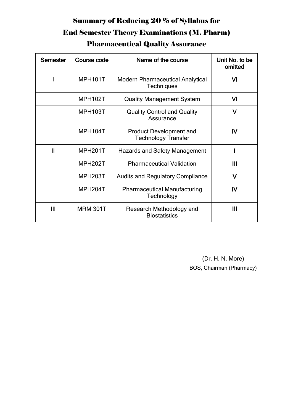## Summary of Reducing 20 % of Syllabus for End Semester Theory Examinations (M. Pharm) Pharmaceutical Quality Assurance

| <b>Semester</b> | Course code          | Name of the course                                           | Unit No. to be<br>omitted |
|-----------------|----------------------|--------------------------------------------------------------|---------------------------|
|                 | MPH101T              | <b>Modern Pharmaceutical Analytical</b><br><b>Techniques</b> | VI                        |
|                 | MPH102T              | <b>Quality Management System</b>                             | VI                        |
|                 | MPH103T              | <b>Quality Control and Quality</b><br>Assurance              | $\mathsf{V}$              |
|                 | MPH104T              | <b>Product Development and</b><br><b>Technology Transfer</b> | IV                        |
| $\mathbf{I}$    | MPH <sub>201</sub> T | <b>Hazards and Safety Management</b>                         |                           |
|                 | MPH <sub>202</sub> T | <b>Pharmaceutical Validation</b>                             | III                       |
|                 | MPH203T              | <b>Audits and Regulatory Compliance</b>                      | $\mathsf{V}$              |
|                 | MPH <sub>204</sub> T | <b>Pharmaceutical Manufacturing</b><br>Technology            | IV                        |
| III             | <b>MRM 301T</b>      | Research Methodology and<br><b>Biostatistics</b>             | Ш                         |